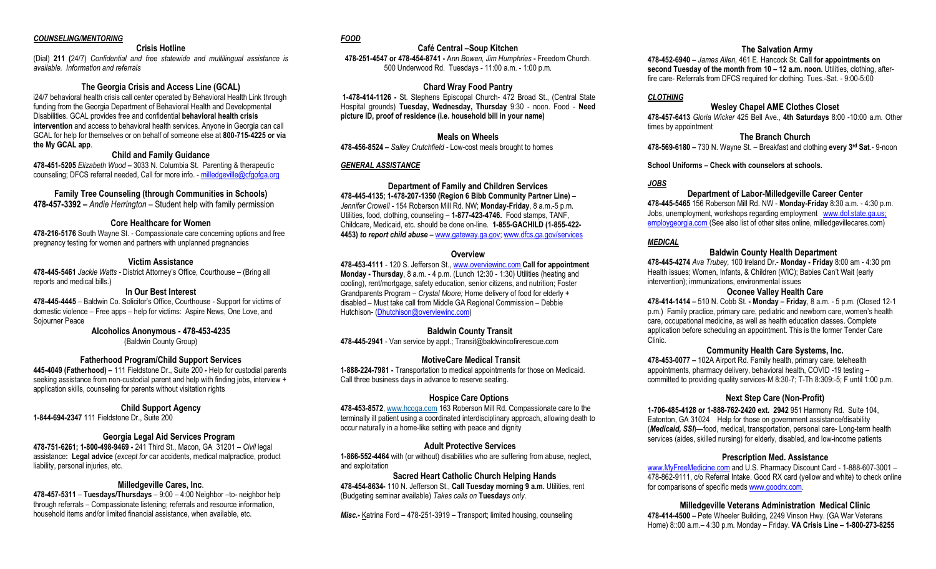#### *COUNSELING/MENTORING*

### **Crisis Hotline**

(Dial) **211 (**24/7) *Confidential and free statewide and multilingual assistance is available. Information and referrals*

#### **The Georgia Crisis and Access Line (GCAL)**

i24/7 behavioral health crisis call center operated by Behavioral Health Link through funding from the Georgia Department of Behavioral Health and Developmental Disabilities. GCAL provides free and confidential **behavioral health crisis intervention** and access to behavioral health services. Anyone in Georgia can call GCAL for help for themselves or on behalf of someone else at **800-715-4225 or via the My GCAL app**.

## **Child and Family Guidance**

**478-451-5205** *Elizabeth Wood –* 3033 N. Columbia St. Parenting & therapeutic counseling: DFCS referral needed, Call for more info. [- milledgeville@cfgofga.org](mailto:milledgeville@cfgofga.org)

## **Family Tree Counseling (through Communities in Schools)**

**478-457-3392 –** *Andie Herrington –* Student help with family permission

#### **Core Healthcare for Women**

**478-216-5176** South Wayne St. - Compassionate care concerning options and free pregnancy testing for women and partners with unplanned pregnancies

## **Victim Assistance**

**478-445-5461** *Jackie Watts -* District Attorney's Office, Courthouse – (Bring all reports and medical bills.)

## **In Our Best Interest**

**478-445-4445** *–* Baldwin Co. Solicitor's Office, Courthouse *-* Support for victims of domestic violence – Free apps – help for victims: Aspire News, One Love, and Sojourner Peace

> **Alcoholics Anonymous - 478-453-4235**  (Baldwin County Group)

#### **Fatherhood Program/Child Support Services**

**445-4049 (Fatherhood) –** 111 Fieldstone Dr., Suite 200 **-** Help for custodial parents seeking assistance from non-custodial parent and help with finding jobs, interview + application skills, counseling for parents without visitation rights

#### **Child Support Agency**

**1-844-694-2347** 111 Fieldstone Dr., Suite 200

#### **Georgia Legal Aid Services Program**

**478-751-6261; 1-800-498-9469 -** 241 Third St., Macon, GA 31201 – *Civil* legal assistance**: Legal advice** (*except for* car accidents, medical malpractice, product liability, personal injuries, etc.

#### **Milledgeville Cares, Inc**.

**478-457-5311** – **Tuesdays/Thursdays** *–* 9:00 – 4:00 Neighbor –to- neighbor help through referrals – Compassionate listening; referrals and resource information, household items and/or limited financial assistance, when available, etc.

# *FOOD*

#### **Café Central –Soup Kitchen**

**478-251-4547 or 478-454-8741 -** A*nn Bowen, Jim Humphries -* Freedom Church. 500 Underwood Rd. Tuesdays - 11:00 a.m. - 1:00 p.m.

## **Chard Wray Food Pantry**

 **1-478-414-1126 -** St. Stephens Episcopal Church- 472 Broad St., (Central State Hospital grounds) **Tuesday, Wednesday, Thursday** 9:30 - noon. Food - **Need picture ID, proof of residence (i.e. household bill in your name)** 

### **Meals on Wheels**

**478-456-8524 –** *Salley Crutchfield -* Low-cost meals brought to homes

## *GENERAL ASSISTANCE*

**Department of Family and Children Services 478-445-4135; 1-478-207-1350 (Region 6 Bibb Community Partner Line)** – *Jennifer Crowell -* 154 Roberson Mill Rd. NW; **Monday-Friday**, 8 a.m.-5 p.m. Utilities, food, clothing, counseling – **1-877-423-4746.** Food stamps, TANF, Childcare, Medicaid, etc. should be done on-line. **1-855-GACHILD (1-855-422- 4453)** *to report child abuse –* [www.gateway.ga.gov;](http://www.gateway.ga.gov/) [www.dfcs.ga.gov/services](http://www.dfcs.ga.gov/services) 

#### **Overview**

**478-453-4111** *-* 120 S. Jefferson St.[, www.overviewinc.com](http://www.overviewinc.com/) **Call for appointment Monday - Thursday**, 8 a.m. - 4 p.m. (Lunch 12:30 - 1:30) Utilities (heating and cooling), rent/mortgage, safety education, senior citizens, and nutrition; Foster Grandparents Program – *Crystal Moore;* Home delivery of food for elderly + disabled – Must take call from Middle GA Regional Commission – Debbie Hutchison- [\(Dhutchison@overviewinc.com\)](mailto:Dhutchison@overviewinc.com) 

## **Baldwin County Transit**

**478-445-2941** - Van service by appt.; Transit@baldwincofirerescue.com

## **MotiveCare Medical Transit**

**1-888-224-7981 -** Transportation to medical appointments for those on Medicaid. Call three business days in advance to reserve seating.

#### **Hospice Care Options**

**478-453-8572**, [www.hcoga.com](http://www.hcoga.com/) 163 Roberson Mill Rd. Compassionate care to the terminally ill patient using a coordinated interdisciplinary approach, allowing death to occur naturally in a home-like setting with peace and dignity

#### **Adult Protective Services**

**1-866-552-4464** with (or without) disabilities who are suffering from abuse, neglect, and exploitation

## **Sacred Heart Catholic Church Helping Hands**

**478-454-8634-** 110 N. Jefferson St., **Call Tuesday morning 9 a.m.** Utilities, rent (Budgeting seminar available) *Takes calls on* **Tuesday***s only.*

*Misc.-* Katrina Ford – 478-251-3919 – Transport; limited housing, counseling

# **The Salvation Army**

**478-452-6940 –** *James Allen,* 461 E. Hancock St. **Call for appointments on second Tuesday of the month from 10 – 12 a.m. noon.** Utilities, clothing, afterfire care- Referrals from DFCS required for clothing. Tues.-Sat. - 9:00-5:00

# *CLOTHING*

#### **Wesley Chapel AME Clothes Closet**

**478-457-6413** *Gloria Wicker* 425 Bell Ave., **4th Saturdays** 8:00 -10:00 a.m. Other times by appointment

**The Branch Church** 

**478-569-6180 –** 730 N. Wayne St. – Breakfast and clothing **every 3rd Sat**.- 9-noon

## **School Uniforms – Check with counselors at schools.**

## *JOBS*

**Department of Labor-Milledgeville Career Center 478-445-5465** 156 Roberson Mill Rd. NW - **Monday-Friday** 8:30 a.m. - 4:30 p.m. Jobs, unemployment, workshops regarding employment [www.dol.state.ga.us;](http://www.dol.state.ga.us/)  employgeorgia.com (See also list of other sites online, milledgevillecares.com)

## *MEDICAL*

#### **Baldwin County Health Department**

**478-445-4274** *Ava Trubey,* 100 Ireland Dr.- **Monday - Friday** 8:00 am - 4:30 pm Health issues; Women, Infants, & Children (WIC); Babies Can't Wait (early intervention); immunizations, environmental issues

### **Oconee Valley Health Care**

**478-414-1414 –** 510 N. Cobb St. **- Monday – Friday**, 8 a.m. - 5 p.m. (Closed 12-1 p.m.) Family practice, primary care, pediatric and newborn care, women's health care, occupational medicine, as well as health education classes. Complete application before scheduling an appointment. This is the former Tender Care Clinic.

#### **Community Health Care Systems, Inc.**

**478-453-0077 –** 102A Airport Rd. Family health, primary care, telehealth appointments, pharmacy delivery, behavioral health, COVID -19 testing – committed to providing quality services-M 8:30-7; T-Th 8:309:-5; F until 1:00 p.m.

## **Next Step Care (Non-Profit)**

**1-706-485-4128 or 1-888-762-2420 ext. 2942** 951 Harmony Rd. Suite 104, Eatonton, GA 31024 Help for those on government assistance/disability (*Medicaid, SSI*)—food, medical, transportation, personal care- Long-term health services (aides, skilled nursing) for elderly, disabled, and low-income patients

#### **Prescription Med. Assistance**

[www.MyFreeMedicine.com](http://www.myfreemedicine.com/) and U.S. Pharmacy Discount Card - 1-888-607-3001 – 478-862-9111, c/o Referral Intake. Good RX card (yellow and white) to check online for comparisons of specific meds [www.goodrx.com.](http://www.goodrx.com/) 

## **Milledgeville Veterans Administration Medical Clinic**

**478-414-4500 –** Pete Wheeler Building, 2249 Vinson Hwy. (GA War Veterans Home) 8::00 a.m.– 4:30 p.m. Monday – Friday. **VA Crisis Line – 1-800-273-8255**